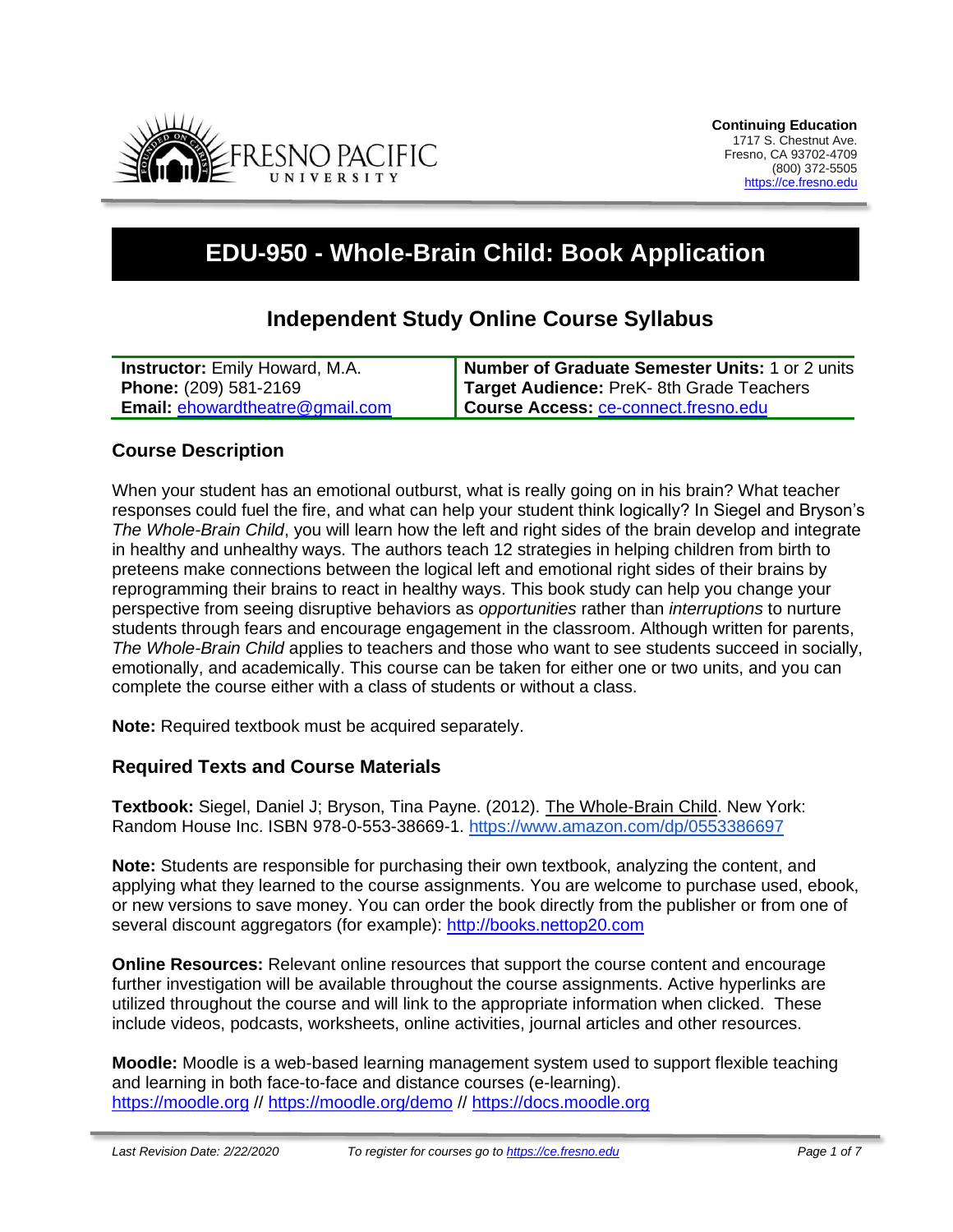

# **EDU-950 - Whole-Brain Child: Book Application**

# **Independent Study Online Course Syllabus**

| <b>Instructor:</b> Emily Howard, M.A.  | Number of Graduate Semester Units: 1 or 2 units |
|----------------------------------------|-------------------------------------------------|
| <b>Phone: (209) 581-2169</b>           | Target Audience: PreK- 8th Grade Teachers       |
| <b>Email: ehowardtheatre@gmail.com</b> | Course Access: ce-connect.fresno.edu            |

### **Course Description**

When your student has an emotional outburst, what is really going on in his brain? What teacher responses could fuel the fire, and what can help your student think logically? In Siegel and Bryson's *The Whole-Brain Child*, you will learn how the left and right sides of the brain develop and integrate in healthy and unhealthy ways. The authors teach 12 strategies in helping children from birth to preteens make connections between the logical left and emotional right sides of their brains by reprogramming their brains to react in healthy ways. This book study can help you change your perspective from seeing disruptive behaviors as *opportunities* rather than *interruptions* to nurture students through fears and encourage engagement in the classroom. Although written for parents, *The Whole-Brain Child* applies to teachers and those who want to see students succeed in socially, emotionally, and academically. This course can be taken for either one or two units, and you can complete the course either with a class of students or without a class.

**Note:** Required textbook must be acquired separately.

#### **Required Texts and Course Materials**

**Textbook:** Siegel, Daniel J; Bryson, Tina Payne. (2012). The Whole-Brain Child. New York: Random House Inc. ISBN 978-0-553-38669-1. [https://www.amazon.com/dp/0553386697](https://www.amazon.com/dp/0553386697/ref=cm_sw_em_r_mt_dp_U_krQjCb1VY20RV)

**Note:** Students are responsible for purchasing their own textbook, analyzing the content, and applying what they learned to the course assignments. You are welcome to purchase used, ebook, or new versions to save money. You can order the book directly from the publisher or from one of several discount aggregators (for example): [http://books.nettop20.com](http://books.nettop20.com/)

**Online Resources:** Relevant online resources that support the course content and encourage further investigation will be available throughout the course assignments. Active hyperlinks are utilized throughout the course and will link to the appropriate information when clicked. These include videos, podcasts, worksheets, online activities, journal articles and other resources.

**Moodle:** Moodle is a web-based learning management system used to support flexible teaching and learning in both face-to-face and distance courses (e-learning). [https://moodle.org](https://moodle.org/) //<https://moodle.org/demo> // [https://docs.moodle.org](https://docs.moodle.org/)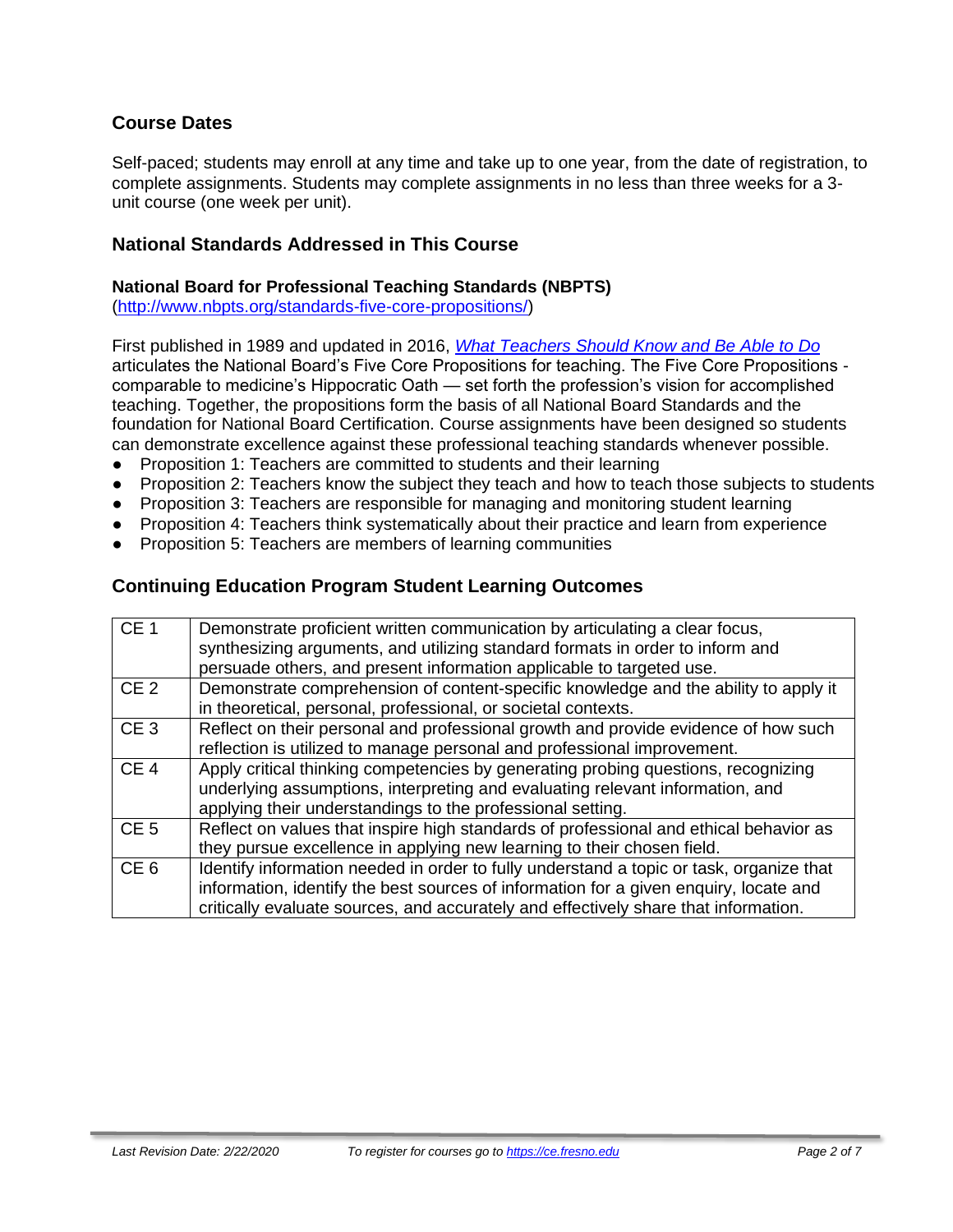### **Course Dates**

Self-paced; students may enroll at any time and take up to one year, from the date of registration, to complete assignments. Students may complete assignments in no less than three weeks for a 3 unit course (one week per unit).

### **National Standards Addressed in This Course**

#### **National Board for Professional Teaching Standards (NBPTS)**

[\(http://www.nbpts.org/standards-five-core-propositions/\)](http://www.nbpts.org/standards-five-core-propositions/)

First published in 1989 and updated in 2016, *[What Teachers Should Know and Be Able to Do](http://www.accomplishedteacher.org/)* articulates the National Board's Five Core Propositions for teaching. The Five Core Propositions comparable to medicine's Hippocratic Oath — set forth the profession's vision for accomplished teaching. Together, the propositions form the basis of all National Board Standards and the foundation for National Board Certification. Course assignments have been designed so students can demonstrate excellence against these professional teaching standards whenever possible.

- Proposition 1: Teachers are committed to students and their learning
- Proposition 2: Teachers know the subject they teach and how to teach those subjects to students
- Proposition 3: Teachers are responsible for managing and monitoring student learning
- Proposition 4: Teachers think systematically about their practice and learn from experience
- Proposition 5: Teachers are members of learning communities

### **Continuing Education Program Student Learning Outcomes**

| CE <sub>1</sub> | Demonstrate proficient written communication by articulating a clear focus,<br>synthesizing arguments, and utilizing standard formats in order to inform and<br>persuade others, and present information applicable to targeted use.                                    |
|-----------------|-------------------------------------------------------------------------------------------------------------------------------------------------------------------------------------------------------------------------------------------------------------------------|
| CE <sub>2</sub> | Demonstrate comprehension of content-specific knowledge and the ability to apply it<br>in theoretical, personal, professional, or societal contexts.                                                                                                                    |
| CE <sub>3</sub> | Reflect on their personal and professional growth and provide evidence of how such<br>reflection is utilized to manage personal and professional improvement.                                                                                                           |
| CE <sub>4</sub> | Apply critical thinking competencies by generating probing questions, recognizing<br>underlying assumptions, interpreting and evaluating relevant information, and<br>applying their understandings to the professional setting.                                        |
| CE <sub>5</sub> | Reflect on values that inspire high standards of professional and ethical behavior as<br>they pursue excellence in applying new learning to their chosen field.                                                                                                         |
| CE <sub>6</sub> | Identify information needed in order to fully understand a topic or task, organize that<br>information, identify the best sources of information for a given enquiry, locate and<br>critically evaluate sources, and accurately and effectively share that information. |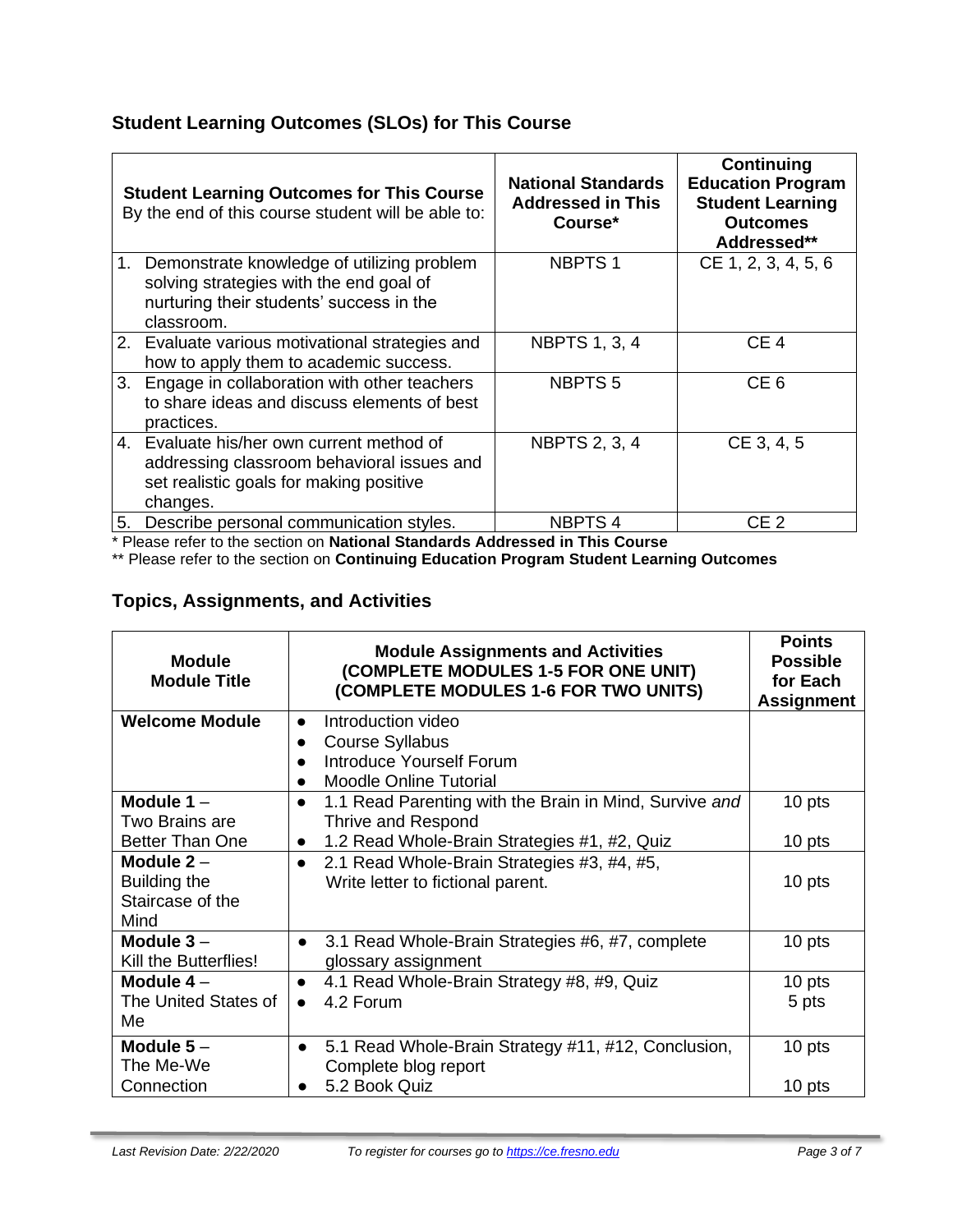# **Student Learning Outcomes (SLOs) for This Course**

|    | <b>Student Learning Outcomes for This Course</b><br>By the end of this course student will be able to:                                             | <b>National Standards</b><br><b>Addressed in This</b><br>Course* | <b>Continuing</b><br><b>Education Program</b><br><b>Student Learning</b><br><b>Outcomes</b><br>Addressed** |
|----|----------------------------------------------------------------------------------------------------------------------------------------------------|------------------------------------------------------------------|------------------------------------------------------------------------------------------------------------|
|    | 1. Demonstrate knowledge of utilizing problem<br>solving strategies with the end goal of<br>nurturing their students' success in the<br>classroom. | <b>NBPTS1</b>                                                    | CE 1, 2, 3, 4, 5, 6                                                                                        |
|    | 2. Evaluate various motivational strategies and<br>how to apply them to academic success.                                                          | <b>NBPTS 1, 3, 4</b>                                             | CE <sub>4</sub>                                                                                            |
| 3. | Engage in collaboration with other teachers<br>to share ideas and discuss elements of best<br>practices.                                           | <b>NBPTS5</b>                                                    | CE <sub>6</sub>                                                                                            |
|    | 4. Evaluate his/her own current method of<br>addressing classroom behavioral issues and<br>set realistic goals for making positive<br>changes.     | <b>NBPTS 2, 3, 4</b>                                             | CE 3, 4, 5                                                                                                 |
| 5. | Describe personal communication styles.                                                                                                            | <b>NBPTS4</b>                                                    | CE <sub>2</sub>                                                                                            |

\* Please refer to the section on **National Standards Addressed in This Course**

\*\* Please refer to the section on **Continuing Education Program Student Learning Outcomes**

## **Topics, Assignments, and Activities**

| <b>Module</b><br><b>Module Title</b>                                                | <b>Module Assignments and Activities</b><br>(COMPLETE MODULES 1-5 FOR ONE UNIT)<br>(COMPLETE MODULES 1-6 FOR TWO UNITS) | <b>Points</b><br><b>Possible</b><br>for Each<br><b>Assignment</b> |
|-------------------------------------------------------------------------------------|-------------------------------------------------------------------------------------------------------------------------|-------------------------------------------------------------------|
| <b>Welcome Module</b>                                                               | Introduction video<br>$\bullet$                                                                                         |                                                                   |
|                                                                                     | <b>Course Syllabus</b><br>Introduce Yourself Forum                                                                      |                                                                   |
|                                                                                     | <b>Moodle Online Tutorial</b>                                                                                           |                                                                   |
| Module $1 -$                                                                        | 1.1 Read Parenting with the Brain in Mind, Survive and<br>$\bullet$                                                     | 10 pts                                                            |
| Two Brains are                                                                      | Thrive and Respond                                                                                                      |                                                                   |
| <b>Better Than One</b><br>1.2 Read Whole-Brain Strategies #1, #2, Quiz<br>$\bullet$ |                                                                                                                         | 10 pts                                                            |
| Module $2 -$<br>Building the<br>Staircase of the<br>Mind                            | 2.1 Read Whole-Brain Strategies #3, #4, #5,<br>$\bullet$<br>Write letter to fictional parent.                           | 10 pts                                                            |
| Module $3-$<br>Kill the Butterflies!                                                | 3.1 Read Whole-Brain Strategies #6, #7, complete<br>$\bullet$<br>glossary assignment                                    |                                                                   |
| Module $4-$                                                                         | 4.1 Read Whole-Brain Strategy #8, #9, Quiz                                                                              | 10 pts                                                            |
| The United States of<br>Me                                                          | 4.2 Forum<br>$\bullet$                                                                                                  | 5 pts                                                             |
| Module $5-$<br>The Me-We                                                            | 5.1 Read Whole-Brain Strategy #11, #12, Conclusion,<br>$\bullet$<br>Complete blog report                                | 10 pts                                                            |
| Connection                                                                          | 5.2 Book Quiz                                                                                                           | 10 pts                                                            |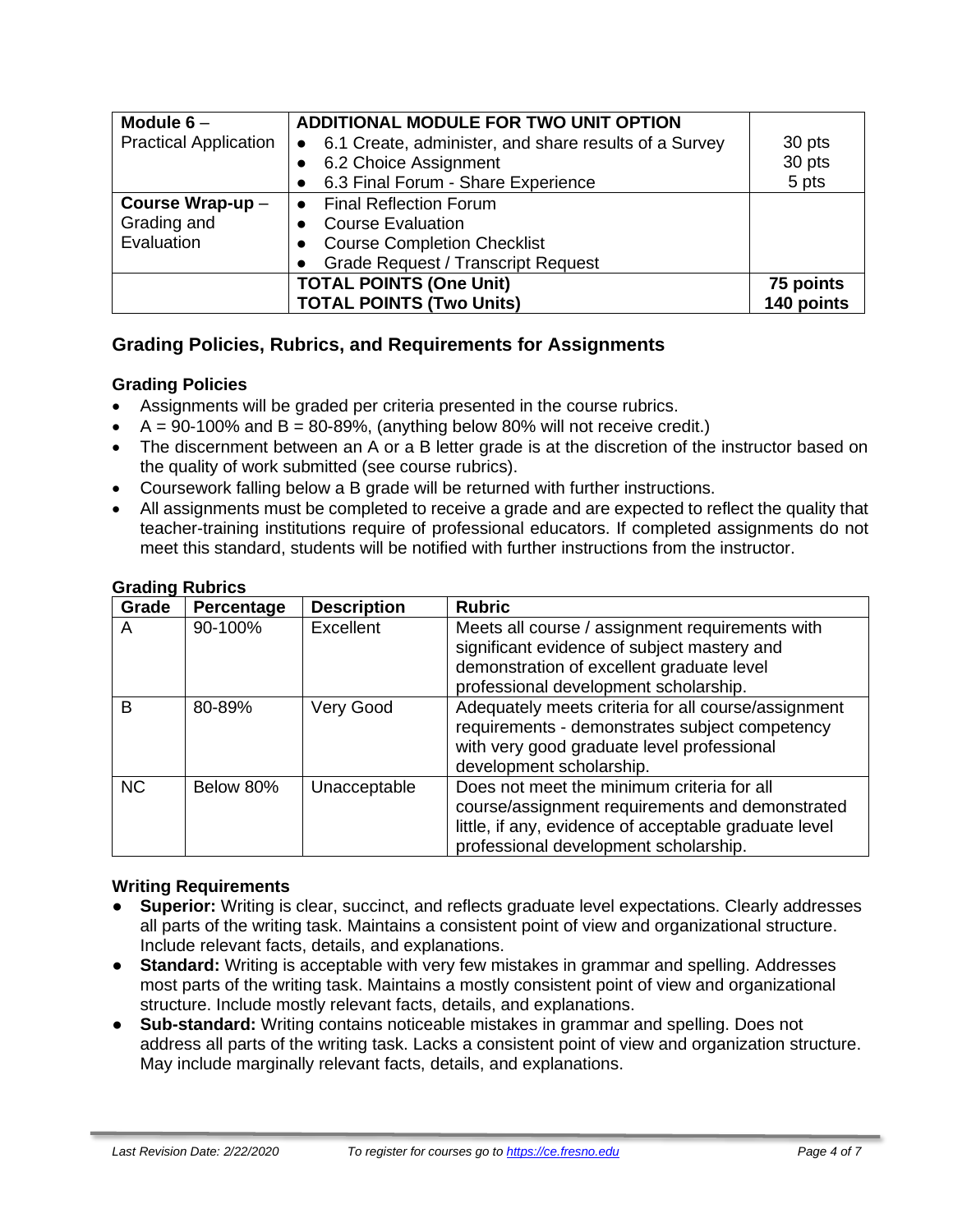| Module $6-$                  | ADDITIONAL MODULE FOR TWO UNIT OPTION                              |            |
|------------------------------|--------------------------------------------------------------------|------------|
| <b>Practical Application</b> | 6.1 Create, administer, and share results of a Survey<br>$\bullet$ | 30 pts     |
|                              | 6.2 Choice Assignment                                              | 30 pts     |
|                              | 6.3 Final Forum - Share Experience                                 | 5 pts      |
| Course Wrap-up-              | • Final Reflection Forum                                           |            |
| Grading and                  | • Course Evaluation                                                |            |
| Evaluation                   | <b>Course Completion Checklist</b>                                 |            |
|                              | <b>Grade Request / Transcript Request</b>                          |            |
|                              | <b>TOTAL POINTS (One Unit)</b>                                     | 75 points  |
|                              | <b>TOTAL POINTS (Two Units)</b>                                    | 140 points |

### **Grading Policies, Rubrics, and Requirements for Assignments**

#### **Grading Policies**

- Assignments will be graded per criteria presented in the course rubrics.
- $\bullet$  A = 90-100% and B = 80-89%, (anything below 80% will not receive credit.)
- The discernment between an A or a B letter grade is at the discretion of the instructor based on the quality of work submitted (see course rubrics).
- Coursework falling below a B grade will be returned with further instructions.
- All assignments must be completed to receive a grade and are expected to reflect the quality that teacher-training institutions require of professional educators. If completed assignments do not meet this standard, students will be notified with further instructions from the instructor.

| Grade     | Percentage | <b>Description</b> | <b>Rubric</b>                                                                                                                                                                                   |
|-----------|------------|--------------------|-------------------------------------------------------------------------------------------------------------------------------------------------------------------------------------------------|
| A         | 90-100%    | Excellent          | Meets all course / assignment requirements with<br>significant evidence of subject mastery and<br>demonstration of excellent graduate level<br>professional development scholarship.            |
| B         | 80-89%     | Very Good          | Adequately meets criteria for all course/assignment<br>requirements - demonstrates subject competency<br>with very good graduate level professional<br>development scholarship.                 |
| <b>NC</b> | Below 80%  | Unacceptable       | Does not meet the minimum criteria for all<br>course/assignment requirements and demonstrated<br>little, if any, evidence of acceptable graduate level<br>professional development scholarship. |

#### **Grading Rubrics**

#### **Writing Requirements**

- **Superior:** Writing is clear, succinct, and reflects graduate level expectations. Clearly addresses all parts of the writing task. Maintains a consistent point of view and organizational structure. Include relevant facts, details, and explanations.
- **Standard:** Writing is acceptable with very few mistakes in grammar and spelling. Addresses most parts of the writing task. Maintains a mostly consistent point of view and organizational structure. Include mostly relevant facts, details, and explanations.
- **Sub-standard:** Writing contains noticeable mistakes in grammar and spelling. Does not address all parts of the writing task. Lacks a consistent point of view and organization structure. May include marginally relevant facts, details, and explanations.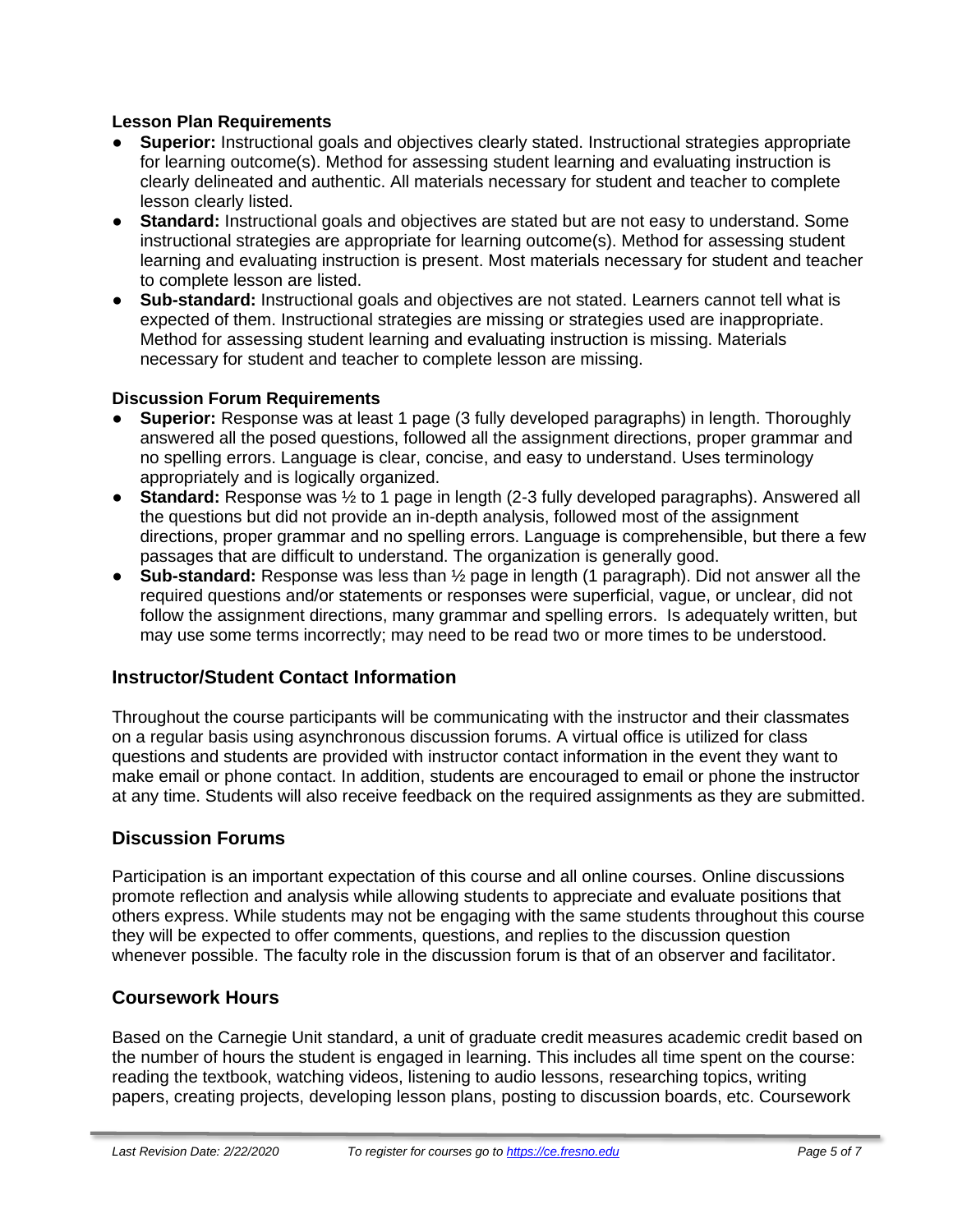#### **Lesson Plan Requirements**

- **Superior:** Instructional goals and objectives clearly stated. Instructional strategies appropriate for learning outcome(s). Method for assessing student learning and evaluating instruction is clearly delineated and authentic. All materials necessary for student and teacher to complete lesson clearly listed.
- **Standard:** Instructional goals and objectives are stated but are not easy to understand. Some instructional strategies are appropriate for learning outcome(s). Method for assessing student learning and evaluating instruction is present. Most materials necessary for student and teacher to complete lesson are listed.
- **Sub-standard:** Instructional goals and objectives are not stated. Learners cannot tell what is expected of them. Instructional strategies are missing or strategies used are inappropriate. Method for assessing student learning and evaluating instruction is missing. Materials necessary for student and teacher to complete lesson are missing.

### **Discussion Forum Requirements**

- **Superior:** Response was at least 1 page (3 fully developed paragraphs) in length. Thoroughly answered all the posed questions, followed all the assignment directions, proper grammar and no spelling errors. Language is clear, concise, and easy to understand. Uses terminology appropriately and is logically organized.
- **Standard:** Response was ½ to 1 page in length (2-3 fully developed paragraphs). Answered all the questions but did not provide an in-depth analysis, followed most of the assignment directions, proper grammar and no spelling errors. Language is comprehensible, but there a few passages that are difficult to understand. The organization is generally good.
- **Sub-standard:** Response was less than ½ page in length (1 paragraph). Did not answer all the required questions and/or statements or responses were superficial, vague, or unclear, did not follow the assignment directions, many grammar and spelling errors. Is adequately written, but may use some terms incorrectly; may need to be read two or more times to be understood.

### **Instructor/Student Contact Information**

Throughout the course participants will be communicating with the instructor and their classmates on a regular basis using asynchronous discussion forums. A virtual office is utilized for class questions and students are provided with instructor contact information in the event they want to make email or phone contact. In addition, students are encouraged to email or phone the instructor at any time. Students will also receive feedback on the required assignments as they are submitted.

### **Discussion Forums**

Participation is an important expectation of this course and all online courses. Online discussions promote reflection and analysis while allowing students to appreciate and evaluate positions that others express. While students may not be engaging with the same students throughout this course they will be expected to offer comments, questions, and replies to the discussion question whenever possible. The faculty role in the discussion forum is that of an observer and facilitator.

### **Coursework Hours**

Based on the Carnegie Unit standard, a unit of graduate credit measures academic credit based on the number of hours the student is engaged in learning. This includes all time spent on the course: reading the textbook, watching videos, listening to audio lessons, researching topics, writing papers, creating projects, developing lesson plans, posting to discussion boards, etc. Coursework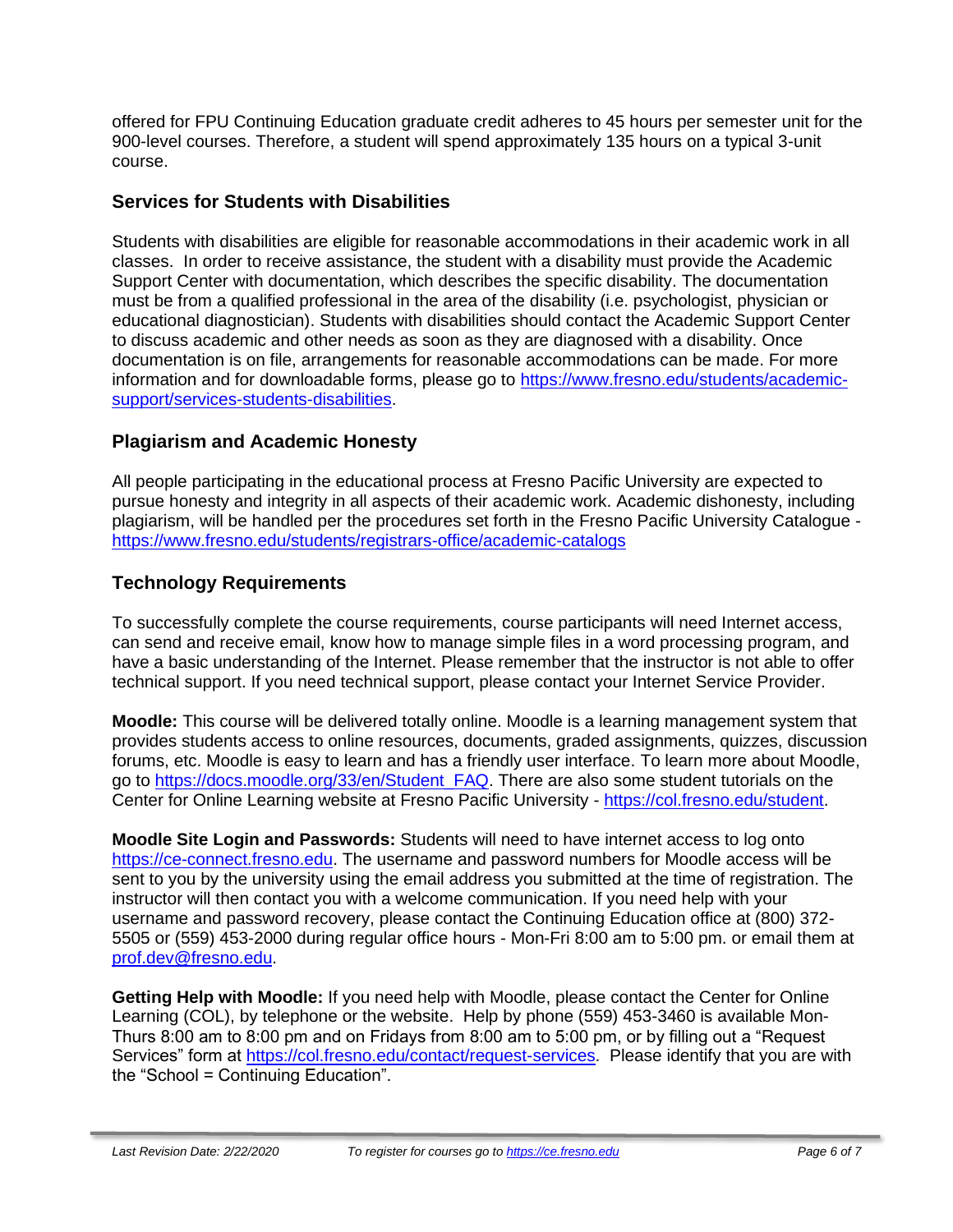offered for FPU Continuing Education graduate credit adheres to 45 hours per semester unit for the 900-level courses. Therefore, a student will spend approximately 135 hours on a typical 3-unit course.

### **Services for Students with Disabilities**

Students with disabilities are eligible for reasonable accommodations in their academic work in all classes. In order to receive assistance, the student with a disability must provide the Academic Support Center with documentation, which describes the specific disability. The documentation must be from a qualified professional in the area of the disability (i.e. psychologist, physician or educational diagnostician). Students with disabilities should contact the Academic Support Center to discuss academic and other needs as soon as they are diagnosed with a disability. Once documentation is on file, arrangements for reasonable accommodations can be made. For more information and for downloadable forms, please go to [https://www.fresno.edu/students/academic](https://www.fresno.edu/students/academic-support/services-students-disabilities)[support/services-students-disabilities.](https://www.fresno.edu/students/academic-support/services-students-disabilities)

### **Plagiarism and Academic Honesty**

All people participating in the educational process at Fresno Pacific University are expected to pursue honesty and integrity in all aspects of their academic work. Academic dishonesty, including plagiarism, will be handled per the procedures set forth in the Fresno Pacific University Catalogue <https://www.fresno.edu/students/registrars-office/academic-catalogs>

### **Technology Requirements**

To successfully complete the course requirements, course participants will need Internet access, can send and receive email, know how to manage simple files in a word processing program, and have a basic understanding of the Internet. Please remember that the instructor is not able to offer technical support. If you need technical support, please contact your Internet Service Provider.

**Moodle:** This course will be delivered totally online. Moodle is a learning management system that provides students access to online resources, documents, graded assignments, quizzes, discussion forums, etc. Moodle is easy to learn and has a friendly user interface. To learn more about Moodle, go to [https://docs.moodle.org/33/en/Student\\_FAQ.](https://docs.moodle.org/33/en/Student_FAQ) There are also some student tutorials on the Center for Online Learning website at Fresno Pacific University - [https://col.fresno.edu/student.](https://col.fresno.edu/student)

**Moodle Site Login and Passwords:** Students will need to have internet access to log onto [https://ce-connect.fresno.edu.](https://ce-connect.fresno.edu/) The username and password numbers for Moodle access will be sent to you by the university using the email address you submitted at the time of registration. The instructor will then contact you with a welcome communication. If you need help with your username and password recovery, please contact the Continuing Education office at (800) 372- 5505 or (559) 453-2000 during regular office hours - Mon-Fri 8:00 am to 5:00 pm. or email them at [prof.dev@fresno.edu.](mailto:prof.dev@fresno.edu)

**Getting Help with Moodle:** If you need help with Moodle, please contact the Center for Online Learning (COL), by telephone or the website. Help by phone (559) 453-3460 is available Mon-Thurs 8:00 am to 8:00 pm and on Fridays from 8:00 am to 5:00 pm, or by filling out a "Request Services" form at [https://col.fresno.edu/contact/request-services.](https://col.fresno.edu/contact/request-services) Please identify that you are with the "School = Continuing Education".